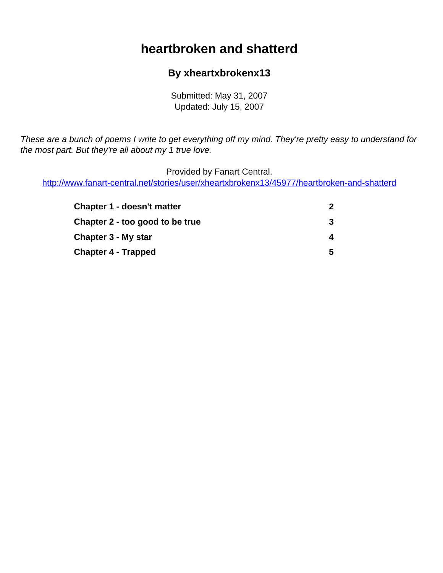# **heartbroken and shatterd**

#### **By xheartxbrokenx13**

Submitted: May 31, 2007 Updated: July 15, 2007

<span id="page-0-0"></span>These are a bunch of poems I write to get everything off my mind. They're pretty easy to understand for the most part. But they're all about my 1 true love.

Provided by Fanart Central.

[http://www.fanart-central.net/stories/user/xheartxbrokenx13/45977/heartbroken-and-shatterd](#page-0-0)

| <b>Chapter 1 - doesn't matter</b> | 2 |
|-----------------------------------|---|
| Chapter 2 - too good to be true   | 3 |
| Chapter 3 - My star               | 4 |
| <b>Chapter 4 - Trapped</b>        | 5 |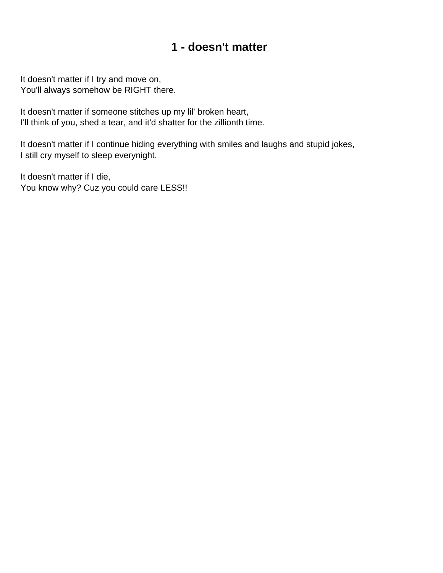### **1 - doesn't matter**

<span id="page-1-0"></span>It doesn't matter if I try and move on, You'll always somehow be RIGHT there.

It doesn't matter if someone stitches up my lil' broken heart, I'll think of you, shed a tear, and it'd shatter for the zillionth time.

It doesn't matter if I continue hiding everything with smiles and laughs and stupid jokes, I still cry myself to sleep everynight.

It doesn't matter if I die, You know why? Cuz you could care LESS!!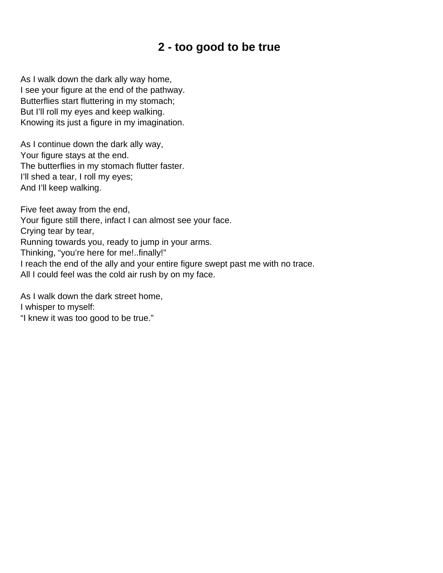# **2 - too good to be true**

<span id="page-2-0"></span>As I walk down the dark ally way home, I see your figure at the end of the pathway. Butterflies start fluttering in my stomach; But I'll roll my eyes and keep walking. Knowing its just a figure in my imagination.

As I continue down the dark ally way, Your figure stays at the end. The butterflies in my stomach flutter faster. I'll shed a tear, I roll my eyes; And I'll keep walking.

Five feet away from the end,

Your figure still there, infact I can almost see your face.

Crying tear by tear,

Running towards you, ready to jump in your arms.

Thinking, "you're here for me!..finally!"

I reach the end of the ally and your entire figure swept past me with no trace.

All I could feel was the cold air rush by on my face.

As I walk down the dark street home, I whisper to myself: "I knew it was too good to be true."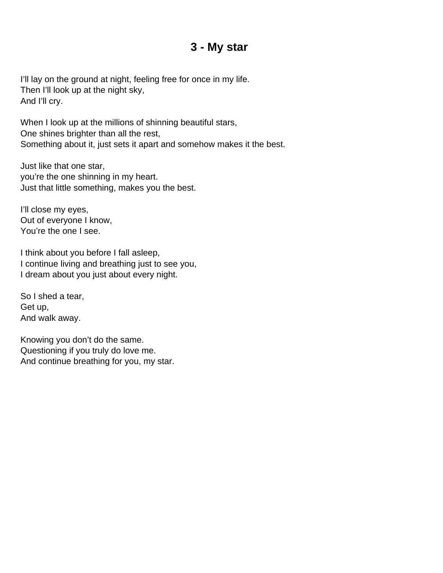### **3 - My star**

<span id="page-3-0"></span>I'll lay on the ground at night, feeling free for once in my life. Then I'll look up at the night sky, And I'll cry.

When I look up at the millions of shinning beautiful stars, One shines brighter than all the rest, Something about it, just sets it apart and somehow makes it the best.

Just like that one star, you're the one shinning in my heart. Just that little something, makes you the best.

I'll close my eyes, Out of everyone I know, You're the one I see.

I think about you before I fall asleep, I continue living and breathing just to see you, I dream about you just about every night.

So I shed a tear, Get up, And walk away.

Knowing you don't do the same. Questioning if you truly do love me. And continue breathing for you, my star.